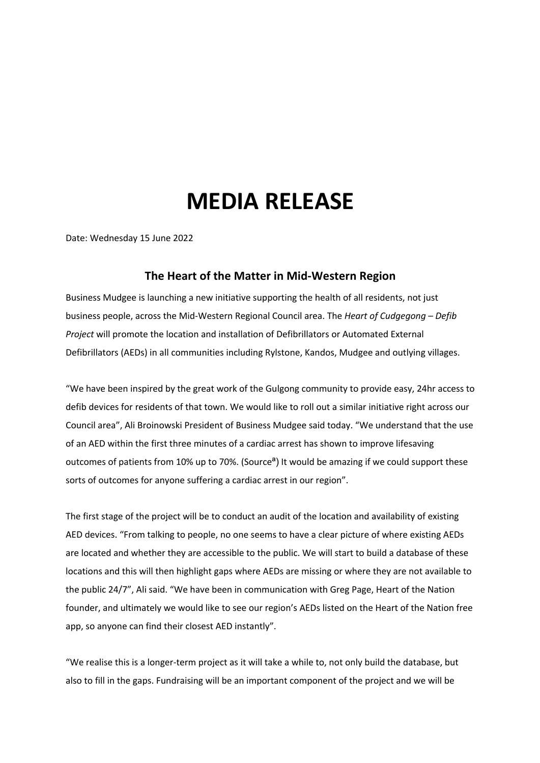## **MEDIA RELEASE**

Date: Wednesday 15 June 2022

## **The Heart of the Matter in Mid-Western Region**

Business Mudgee is launching a new initiative supporting the health of all residents, not just business people, across the Mid-Western Regional Council area. The *Heart of Cudgegong – Defib Project* will promote the location and installation of Defibrillators or Automated External Defibrillators (AEDs) in all communities including Rylstone, Kandos, Mudgee and outlying villages.

"We have been inspired by the great work of the Gulgong community to provide easy, 24hr access to defib devices for residents of that town. We would like to roll out a similar initiative right across our Council area", Ali Broinowski President of Business Mudgee said today. "We understand that the use of an AED within the first three minutes of a cardiac arrest has shown to improve lifesaving outcomes of patients from 10% up to 70%. (Sourceª) It would be amazing if we could support these sorts of outcomes for anyone suffering a cardiac arrest in our region".

The first stage of the project will be to conduct an audit of the location and availability of existing AED devices. "From talking to people, no one seems to have a clear picture of where existing AEDs are located and whether they are accessible to the public. We will start to build a database of these locations and this will then highlight gaps where AEDs are missing or where they are not available to the public 24/7", Ali said. "We have been in communication with Greg Page, Heart of the Nation founder, and ultimately we would like to see our region's AEDs listed on the Heart of the Nation free app, so anyone can find their closest AED instantly".

"We realise this is a longer-term project as it will take a while to, not only build the database, but also to fill in the gaps. Fundraising will be an important component of the project and we will be